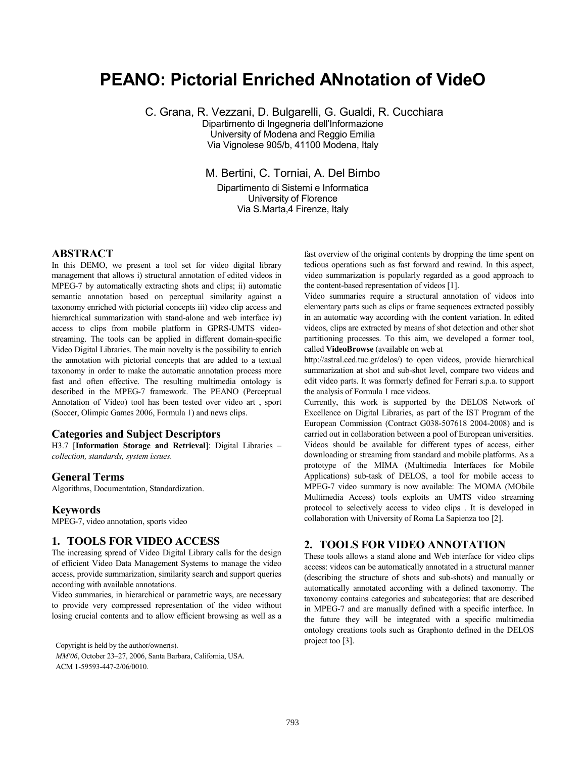# **PEANO: Pictorial Enriched ANnotation of VideO**

C. Grana, R. Vezzani, D. Bulgarelli, G. Gualdi, R. Cucchiara

Dipartimento di Ingegneria dell'Informazione University of Modena and Reggio Emilia Via Vignolese 905/b, 41100 Modena, Italy

M. Bertini, C. Torniai, A. Del Bimbo

Dipartimento di Sistemi e Informatica University of Florence Via S.Marta,4 Firenze, Italy

### **ABSTRACT**

In this DEMO, we present a tool set for video digital library management that allows i) structural annotation of edited videos in MPEG-7 by automatically extracting shots and clips; ii) automatic semantic annotation based on perceptual similarity against a taxonomy enriched with pictorial concepts iii) video clip access and hierarchical summarization with stand-alone and web interface iv) access to clips from mobile platform in GPRS-UMTS videostreaming. The tools can be applied in different domain-specific Video Digital Libraries. The main novelty is the possibility to enrich the annotation with pictorial concepts that are added to a textual taxonomy in order to make the automatic annotation process more fast and often effective. The resulting multimedia ontology is described in the MPEG-7 framework. The PEANO (Perceptual Annotation of Video) tool has been tested over video art , sport (Soccer, Olimpic Games 2006, Formula 1) and news clips.

#### **Categories and Subject Descriptors**

H3.7 [**Information Storage and Retrieval**]: Digital Libraries – *collection, standards, system issues.*

#### **General Terms**

Algorithms, Documentation, Standardization.

#### **Keywords**

MPEG-7, video annotation, sports video

#### **1. TOOLS FOR VIDEO ACCESS**

The increasing spread of Video Digital Library calls for the design of efficient Video Data Management Systems to manage the video access, provide summarization, similarity search and support queries according with available annotations.

Video summaries, in hierarchical or parametric ways, are necessary to provide very compressed representation of the video without losing crucial contents and to allow efficient browsing as well as a

project too [3]. Copyright is held by the author/owner(s). *MM'06*, October 23–27, 2006, Santa Barbara, California, USA. ACM 1-59593-447-2/06/0010.

fast overview of the original contents by dropping the time spent on tedious operations such as fast forward and rewind. In this aspect, video summarization is popularly regarded as a good approach to the content-based representation of videos [1].

Video summaries require a structural annotation of videos into elementary parts such as clips or frame sequences extracted possibly in an automatic way according with the content variation. In edited videos, clips are extracted by means of shot detection and other shot partitioning processes. To this aim, we developed a former tool, called **VideoBrowse** (available on web at

http://astral.ced.tuc.gr/delos/) to open videos, provide hierarchical summarization at shot and sub-shot level, compare two videos and edit video parts. It was formerly defined for Ferrari s.p.a. to support the analysis of Formula 1 race videos.

Currently, this work is supported by the DELOS Network of Excellence on Digital Libraries, as part of the IST Program of the European Commission (Contract G038-507618 2004-2008) and is carried out in collaboration between a pool of European universities. Videos should be available for different types of access, either downloading or streaming from standard and mobile platforms. As a prototype of the MIMA (Multimedia Interfaces for Mobile Applications) sub-task of DELOS, a tool for mobile access to MPEG-7 video summary is now available: The MOMA (MObile Multimedia Access) tools exploits an UMTS video streaming protocol to selectively access to video clips . It is developed in collaboration with University of Roma La Sapienza too [2].

## **2. TOOLS FOR VIDEO ANNOTATION**

These tools allows a stand alone and Web interface for video clips access: videos can be automatically annotated in a structural manner (describing the structure of shots and sub-shots) and manually or automatically annotated according with a defined taxonomy. The taxonomy contains categories and subcategories: that are described in MPEG-7 and are manually defined with a specific interface. In the future they will be integrated with a specific multimedia ontology creations tools such as Graphonto defined in the DELOS